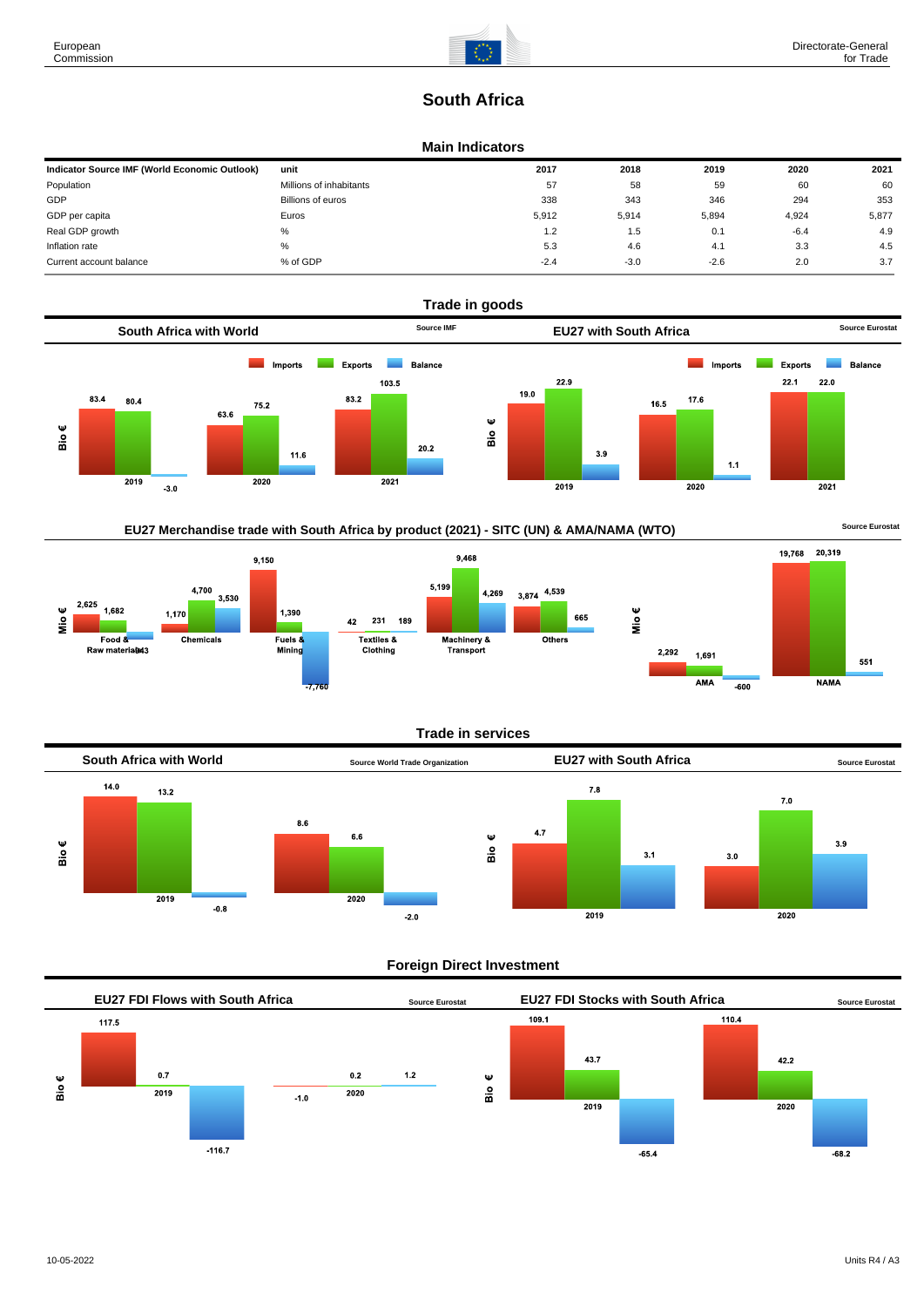# **South Africa**

#### **Main Indicators**

| Indicator Source IMF (World Economic Outlook) | unit                    | 2017   | 2018   | 2019   | 2020   | 2021  |
|-----------------------------------------------|-------------------------|--------|--------|--------|--------|-------|
| Population                                    | Millions of inhabitants | 57     | 58     | 59     | 60     | 60    |
| GDP                                           | Billions of euros       | 338    | 343    | 346    | 294    | 353   |
| GDP per capita                                | Euros                   | 5.912  | 5,914  | 5,894  | 4,924  | 5,877 |
| Real GDP growth                               | %                       | 1.2    | 1.5    | 0.1    | $-6.4$ | 4.9   |
| Inflation rate                                | %                       | 5.3    | 4.6    | 4.1    | 3.3    | 4.5   |
| Current account balance                       | % of GDP                | $-2.4$ | $-3.0$ | $-2.6$ | 2.0    | 3.7   |



# **EU27 Merchandise trade with South Africa by product (2021) - SITC (UN) & AMA/NAMA (WTO)** Source Eurostat



#### **Trade in services**



#### **Foreign Direct Investment**